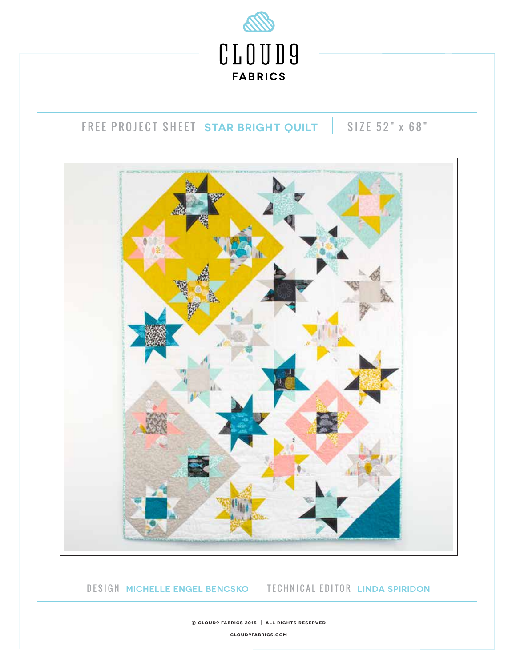

# FREE PROJECT SHEET STAR BRIGHT QUILT | SIZE 52" x 68"



DESIGN **MICHELLE ENGEL BENCSKO** TECHNICAL EDITOR **LINDA SPIRIDON**

**© cloud9 fabrics 2015 | all rights reserved cloud9fabrics.com**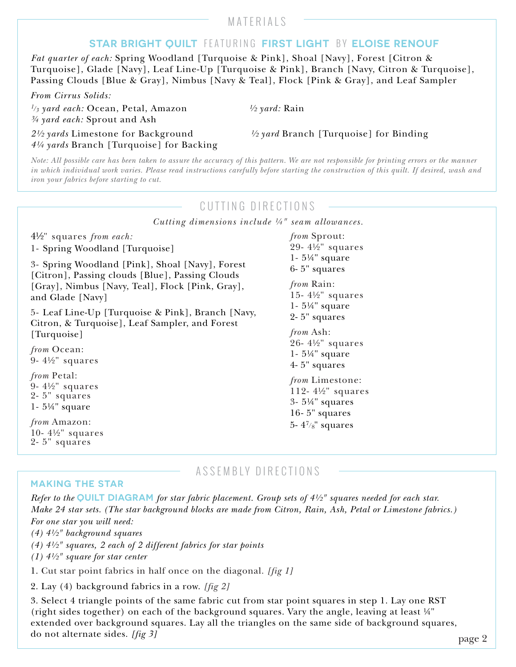# MATERIALS

# **STAR BRIGHT QUILT** FEATURING **FIRST LIGHT** BY **ELOISE RENOUF**

*Fat quarter of each:* Spring Woodland [Turquoise & Pink], Shoal [Navy], Forest [Citron & Turquoise], Glade [Navy], Leaf Line-Up [Turquoise & Pink], Branch [Navy, Citron & Turquoise], Passing Clouds [Blue & Gray], Nimbus [Navy & Teal], Flock [Pink & Gray], and Leaf Sampler

*From Cirrus Solids:* 

*1/3 yard each:* Ocean, Petal, Amazon *½ yard:* Rain *¾ yard each:* Sprout and Ash

*2½ yards* Limestone for Background *½ yard* Branch [Turquoise] for Binding *4¼ yards* Branch [Turquoise] for Backing

*Note: All possible care has been taken to assure the accuracy of this pattern. We are not responsible for printing errors or the manner in which individual work varies. Please read instructions carefully before starting the construction of this quilt. If desired, wash and iron your fabrics before starting to cut.*

## CUTTING DIRECTIONS

*Cutting dimensions include ¼" seam allowances.*

4½" squares *from each:*

1- Spring Woodland [Turquoise]

3- Spring Woodland [Pink], Shoal [Navy], Forest [Citron], Passing clouds [Blue], Passing Clouds [Gray], Nimbus [Navy, Teal], Flock [Pink, Gray], and Glade [Navy]

5- Leaf Line-Up [Turquoise & Pink], Branch [Navy, Citron, & Turquoise], Leaf Sampler, and Forest [Turquoise]

*from* Ocean: 9- 4½" squares

*from* Petal: 9- 4½" squares 2- 5" squares 1- 5¼" square

*from* Amazon: 10- 4½" squares 2- 5" squares

*from* Sprout: 29- 4½" squares 1- 5¼" square 6- 5" squares

*from* Rain: 15- 4½" squares 1- 5¼" square 2- 5" squares

*from* Ash: 26- 4½" squares 1- 5¼" square 4- 5" squares

*from* Limestone: 112- 4½" squares 3- 5¼" squares 16- 5" squares 5-  $4^{7}/8$ " squares

#### **MAKING THE STAR**

ASSEMBLY DIRECTIONS

*Refer to the* **QUILT DIAGRAM** *for star fabric placement. Group sets of 4½" squares needed for each star. Make 24 star sets. (The star background blocks are made from Citron, Rain, Ash, Petal or Limestone fabrics.) For one star you will need:*

*(4) 4½" background squares* 

*(4) 4½" squares, 2 each of 2 different fabrics for star points*

*(1) 4½" square for star center*

1. Cut star point fabrics in half once on the diagonal. *[fig 1]*

2. Lay (4) background fabrics in a row. *[fig 2]*

3. Select 4 triangle points of the same fabric cut from star point squares in step 1. Lay one RST (right sides together) on each of the background squares. Vary the angle, leaving at least ¼" extended over background squares. Lay all the triangles on the same side of background squares, do not alternate sides. *[fig 3]*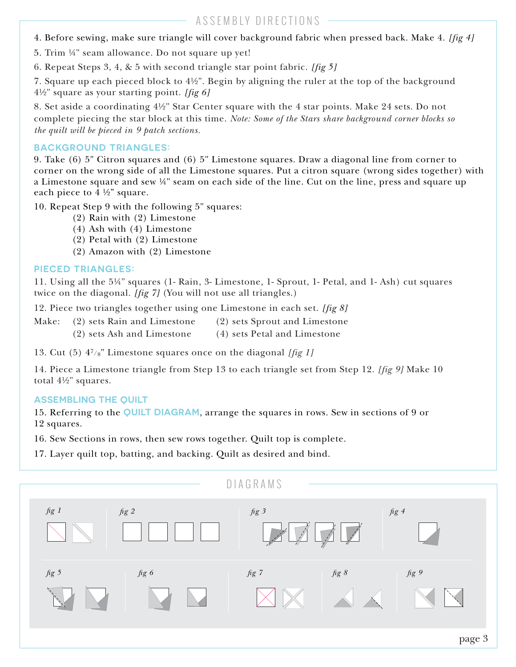4. Before sewing, make sure triangle will cover background fabric when pressed back. Make 4. *[fig 4]*

5. Trim ¼" seam allowance. Do not square up yet!

6. Repeat Steps 3, 4, & 5 with second triangle star point fabric. *[fig 5]*

7. Square up each pieced block to 4½". Begin by aligning the ruler at the top of the background 4½" square as your starting point. *[fig 6]*

8. Set aside a coordinating 4½" Star Center square with the 4 star points. Make 24 sets. Do not complete piecing the star block at this time. *Note: Some of the Stars share background corner blocks so the quilt will be pieced in 9 patch sections.*

### **BACKGROUND TRIANGLES:**

9. Take (6) 5" Citron squares and (6) 5" Limestone squares. Draw a diagonal line from corner to corner on the wrong side of all the Limestone squares. Put a citron square (wrong sides together) with a Limestone square and sew ¼" seam on each side of the line. Cut on the line, press and square up each piece to  $4\frac{1}{2}$  square.

10. Repeat Step 9 with the following 5" squares:

- (2) Rain with (2) Limestone
- (4) Ash with (4) Limestone
- (2) Petal with (2) Limestone
- (2) Amazon with (2) Limestone

#### **PIECED TRIANGLES:**

11. Using all the 5¼" squares (1- Rain, 3- Limestone, 1- Sprout, 1- Petal, and 1- Ash) cut squares twice on the diagonal. *[fig 7]* (You will not use all triangles.)

12. Piece two triangles together using one Limestone in each set. *[fig 8]*

- Make: (2) sets Rain and Limestone (2) sets Sprout and Limestone
	- (2) sets Ash and Limestone (4) sets Petal and Limestone

13. Cut (5) 47/8" Limestone squares once on the diagonal *[fig 1]*

14. Piece a Limestone triangle from Step 13 to each triangle set from Step 12. *[fig 9]* Make 10 total 4½" squares.

#### **ASSEMBLING THE QUILT**

15. Referring to the **QUILT DIAGRAM**, arrange the squares in rows. Sew in sections of 9 or 12 squares.

16. Sew Sections in rows, then sew rows together. Quilt top is complete.

17. Layer quilt top, batting, and backing. Quilt as desired and bind.